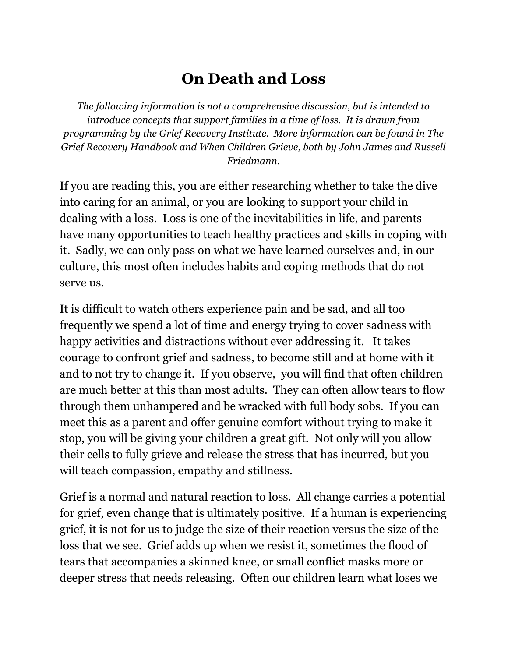## **On Death and Loss**

*The following information is not a comprehensive discussion, but is intended to introduce concepts that support families in a time of loss. It is drawn from programming by the Grief Recovery Institute. More information can be found in The Grief Recovery Handbook and When Children Grieve, both by John James and Russell Friedmann.*

If you are reading this, you are either researching whether to take the dive into caring for an animal, or you are looking to support your child in dealing with a loss. Loss is one of the inevitabilities in life, and parents have many opportunities to teach healthy practices and skills in coping with it. Sadly, we can only pass on what we have learned ourselves and, in our culture, this most often includes habits and coping methods that do not serve us.

It is difficult to watch others experience pain and be sad, and all too frequently we spend a lot of time and energy trying to cover sadness with happy activities and distractions without ever addressing it. It takes courage to confront grief and sadness, to become still and at home with it and to not try to change it. If you observe, you will find that often children are much better at this than most adults. They can often allow tears to flow through them unhampered and be wracked with full body sobs. If you can meet this as a parent and offer genuine comfort without trying to make it stop, you will be giving your children a great gift. Not only will you allow their cells to fully grieve and release the stress that has incurred, but you will teach compassion, empathy and stillness.

Grief is a normal and natural reaction to loss. All change carries a potential for grief, even change that is ultimately positive. If a human is experiencing grief, it is not for us to judge the size of their reaction versus the size of the loss that we see. Grief adds up when we resist it, sometimes the flood of tears that accompanies a skinned knee, or small conflict masks more or deeper stress that needs releasing. Often our children learn what loses we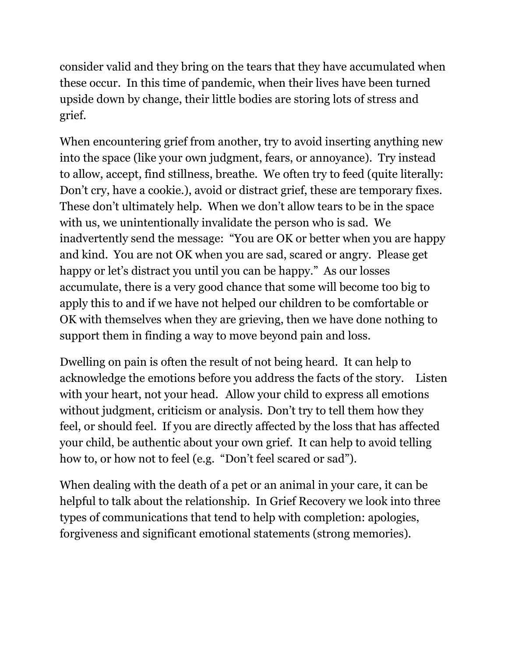consider valid and they bring on the tears that they have accumulated when these occur. In this time of pandemic, when their lives have been turned upside down by change, their little bodies are storing lots of stress and grief.

When encountering grief from another, try to avoid inserting anything new into the space (like your own judgment, fears, or annoyance). Try instead to allow, accept, find stillness, breathe. We often try to feed (quite literally: Don't cry, have a cookie.), avoid or distract grief, these are temporary fixes. These don't ultimately help. When we don't allow tears to be in the space with us, we unintentionally invalidate the person who is sad. We inadvertently send the message: "You are OK or better when you are happy and kind. You are not OK when you are sad, scared or angry. Please get happy or let's distract you until you can be happy." As our losses accumulate, there is a very good chance that some will become too big to apply this to and if we have not helped our children to be comfortable or OK with themselves when they are grieving, then we have done nothing to support them in finding a way to move beyond pain and loss.

Dwelling on pain is often the result of not being heard. It can help to acknowledge the emotions before you address the facts of the story. Listen with your heart, not your head. Allow your child to express all emotions without judgment, criticism or analysis. Don't try to tell them how they feel, or should feel. If you are directly affected by the loss that has affected your child, be authentic about your own grief. It can help to avoid telling how to, or how not to feel (e.g. "Don't feel scared or sad").

When dealing with the death of a pet or an animal in your care, it can be helpful to talk about the relationship. In Grief Recovery we look into three types of communications that tend to help with completion: apologies, forgiveness and significant emotional statements (strong memories).